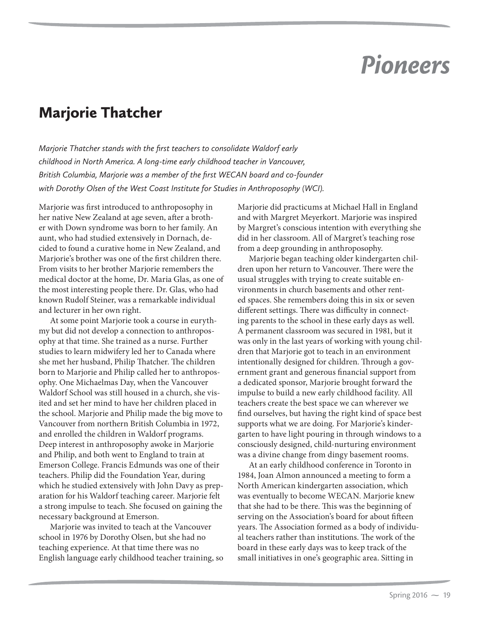## *Pioneers*

## Marjorie Thatcher

*Marjorie Thatcher stands with the first teachers to consolidate Waldorf early childhood in North America. A long-time early childhood teacher in Vancouver, British Columbia, Marjorie was a member of the first WECAN board and co-founder with Dorothy Olsen of the West Coast Institute for Studies in Anthroposophy (WCI).* 

Marjorie was first introduced to anthroposophy in her native New Zealand at age seven, after a brother with Down syndrome was born to her family. An aunt, who had studied extensively in Dornach, decided to found a curative home in New Zealand, and Marjorie's brother was one of the first children there. From visits to her brother Marjorie remembers the medical doctor at the home, Dr. Maria Glas, as one of the most interesting people there. Dr. Glas, who had known Rudolf Steiner, was a remarkable individual and lecturer in her own right.

At some point Marjorie took a course in eurythmy but did not develop a connection to anthroposophy at that time. She trained as a nurse. Further studies to learn midwifery led her to Canada where she met her husband, Philip Thatcher. The children born to Marjorie and Philip called her to anthroposophy. One Michaelmas Day, when the Vancouver Waldorf School was still housed in a church, she visited and set her mind to have her children placed in the school. Marjorie and Philip made the big move to Vancouver from northern British Columbia in 1972, and enrolled the children in Waldorf programs. Deep interest in anthroposophy awoke in Marjorie and Philip, and both went to England to train at Emerson College. Francis Edmunds was one of their teachers. Philip did the Foundation Year, during which he studied extensively with John Davy as preparation for his Waldorf teaching career. Marjorie felt a strong impulse to teach. She focused on gaining the necessary background at Emerson.

Marjorie was invited to teach at the Vancouver school in 1976 by Dorothy Olsen, but she had no teaching experience. At that time there was no English language early childhood teacher training, so Marjorie did practicums at Michael Hall in England and with Margret Meyerkort. Marjorie was inspired by Margret's conscious intention with everything she did in her classroom. All of Margret's teaching rose from a deep grounding in anthroposophy.

Marjorie began teaching older kindergarten children upon her return to Vancouver. There were the usual struggles with trying to create suitable environments in church basements and other rented spaces. She remembers doing this in six or seven different settings. There was difficulty in connecting parents to the school in these early days as well. A permanent classroom was secured in 1981, but it was only in the last years of working with young children that Marjorie got to teach in an environment intentionally designed for children. Through a government grant and generous financial support from a dedicated sponsor, Marjorie brought forward the impulse to build a new early childhood facility. All teachers create the best space we can wherever we find ourselves, but having the right kind of space best supports what we are doing. For Marjorie's kindergarten to have light pouring in through windows to a consciously designed, child-nurturing environment was a divine change from dingy basement rooms.

At an early childhood conference in Toronto in 1984, Joan Almon announced a meeting to form a North American kindergarten association, which was eventually to become WECAN. Marjorie knew that she had to be there. This was the beginning of serving on the Association's board for about fifteen years. The Association formed as a body of individual teachers rather than institutions. The work of the board in these early days was to keep track of the small initiatives in one's geographic area. Sitting in